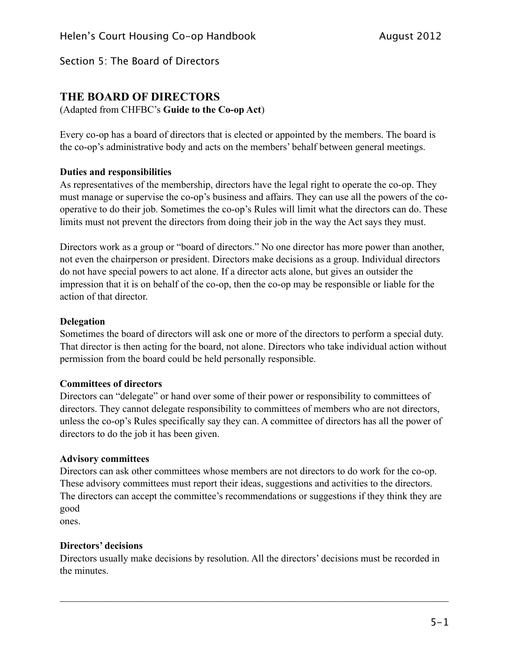# **THE BOARD OF DIRECTORS**

(Adapted from CHFBC's **Guide to the Co-op Act**)

Every co-op has a board of directors that is elected or appointed by the members. The board is the co-op's administrative body and acts on the members' behalf between general meetings.

### **Duties and responsibilities**

As representatives of the membership, directors have the legal right to operate the co-op. They must manage or supervise the co-op's business and affairs. They can use all the powers of the cooperative to do their job. Sometimes the co-op's Rules will limit what the directors can do. These limits must not prevent the directors from doing their job in the way the Act says they must.

Directors work as a group or "board of directors." No one director has more power than another not even the chairperson or president. Directors make decisions as a group. Individual directors do not have special powers to act alone. If a director acts alone, but gives an outsider the impression that it is on behalf of the co-op, then the co-op may be responsible or liable for the action of that director.

#### **Delegation**

Sometimes the board of directors will ask one or more of the directors to perform a special duty. That director is then acting for the board, not alone. Directors who take individual action without permission from the board could be held personally responsible.

#### **Committees of directors**

Directors can "delegate" or hand over some of their power or responsibility to committees of directors. They cannot delegate responsibility to committees of members who are not directors, unless the co-op's Rules specifically say they can. A committee of directors has all the power of directors to do the job it has been given.

### **Advisory committees**

Directors can ask other committees whose members are not directors to do work for the co-op. These advisory committees must report their ideas, suggestions and activities to the directors. The directors can accept the committee's recommendations or suggestions if they think they are good

ones.

## **Directors' decisions**

Directors usually make decisions by resolution. All the directors' decisions must be recorded in the minutes.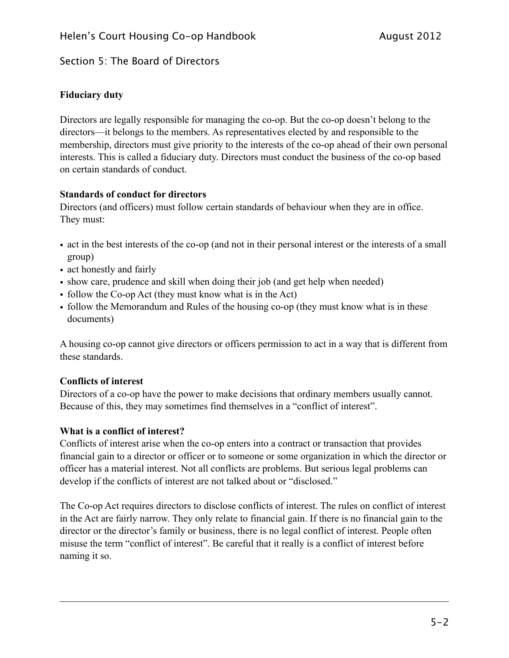## **Fiduciary duty**

Directors are legally responsible for managing the co-op. But the co-op doesn't belong to the directors—it belongs to the members. As representatives elected by and responsible to the membership, directors must give priority to the interests of the co-op ahead of their own personal interests. This is called a fiduciary duty. Directors must conduct the business of the co-op based on certain standards of conduct.

## **Standards of conduct for directors**

Directors (and officers) must follow certain standards of behaviour when they are in office. They must:

- act in the best interests of the co-op (and not in their personal interest or the interests of a small group)
- act honestly and fairly
- show care, prudence and skill when doing their job (and get help when needed)
- follow the Co-op Act (they must know what is in the Act)
- follow the Memorandum and Rules of the housing co-op (they must know what is in these documents)

A housing co-op cannot give directors or officers permission to act in a way that is different from these standards.

## **Conflicts of interest**

Directors of a co-op have the power to make decisions that ordinary members usually cannot. Because of this, they may sometimes find themselves in a "conflict of interest".

## **What is a conflict of interest?**

Conflicts of interest arise when the co-op enters into a contract or transaction that provides financial gain to a director or officer or to someone or some organization in which the director or officer has a material interest. Not all conflicts are problems. But serious legal problems can develop if the conflicts of interest are not talked about or "disclosed."

The Co-op Act requires directors to disclose conflicts of interest. The rules on conflict of interest in the Act are fairly narrow. They only relate to financial gain. If there is no financial gain to the director or the director's family or business, there is no legal conflict of interest. People often misuse the term "conflict of interest". Be careful that it really is a conflict of interest before naming it so.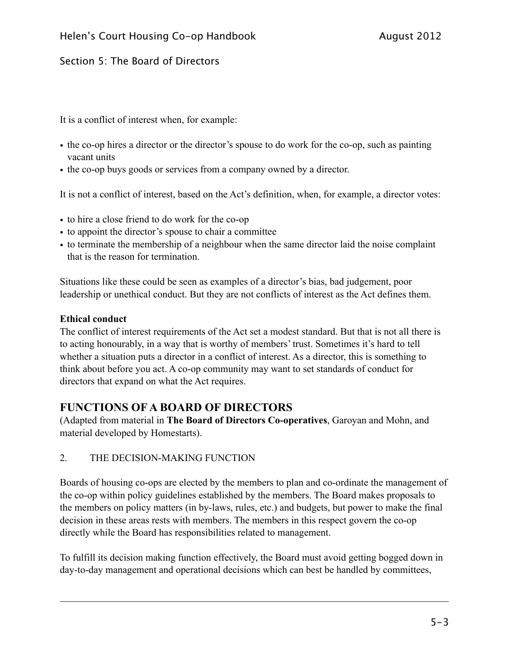It is a conflict of interest when, for example:

- the co-op hires a director or the director's spouse to do work for the co-op, such as painting vacant units
- the co-op buys goods or services from a company owned by a director.

It is not a conflict of interest, based on the Act's definition, when, for example, a director votes:

- to hire a close friend to do work for the co-op
- to appoint the director's spouse to chair a committee
- to terminate the membership of a neighbour when the same director laid the noise complaint that is the reason for termination.

Situations like these could be seen as examples of a director's bias, bad judgement, poor leadership or unethical conduct. But they are not conflicts of interest as the Act defines them.

### **Ethical conduct**

The conflict of interest requirements of the Act set a modest standard. But that is not all there is to acting honourably, in a way that is worthy of members' trust. Sometimes it's hard to tell whether a situation puts a director in a conflict of interest. As a director, this is something to think about before you act. A co-op community may want to set standards of conduct for directors that expand on what the Act requires.

# **FUNCTIONS OF A BOARD OF DIRECTORS**

(Adapted from material in **The Board of Directors Co-operatives**, Garoyan and Mohn, and material developed by Homestarts).

### 2. THE DECISION-MAKING FUNCTION

Boards of housing co-ops are elected by the members to plan and co-ordinate the management of the co-op within policy guidelines established by the members. The Board makes proposals to the members on policy matters (in by-laws, rules, etc.) and budgets, but power to make the final decision in these areas rests with members. The members in this respect govern the co-op directly while the Board has responsibilities related to management.

To fulfill its decision making function effectively, the Board must avoid getting bogged down in day-to-day management and operational decisions which can best be handled by committees,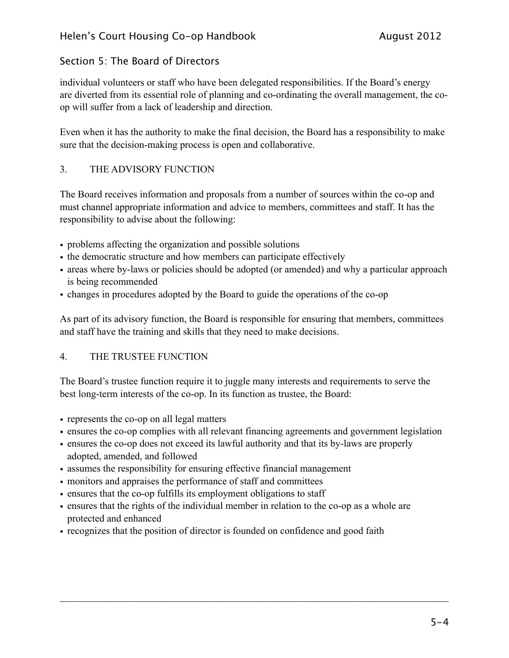individual volunteers or staff who have been delegated responsibilities. If the Board's energy are diverted from its essential role of planning and co-ordinating the overall management, the coop will suffer from a lack of leadership and direction.

Even when it has the authority to make the final decision, the Board has a responsibility to make sure that the decision-making process is open and collaborative.

## 3. THE ADVISORY FUNCTION

The Board receives information and proposals from a number of sources within the co-op and must channel appropriate information and advice to members, committees and staff. It has the responsibility to advise about the following:

- problems affecting the organization and possible solutions
- the democratic structure and how members can participate effectively
- areas where by-laws or policies should be adopted (or amended) and why a particular approach is being recommended
- changes in procedures adopted by the Board to guide the operations of the co-op

As part of its advisory function, the Board is responsible for ensuring that members, committees and staff have the training and skills that they need to make decisions.

## 4. THE TRUSTEE FUNCTION

The Board's trustee function require it to juggle many interests and requirements to serve the best long-term interests of the co-op. In its function as trustee, the Board:

- represents the co-op on all legal matters
- ensures the co-op complies with all relevant financing agreements and government legislation
- ensures the co-op does not exceed its lawful authority and that its by-laws are properly adopted, amended, and followed
- assumes the responsibility for ensuring effective financial management
- monitors and appraises the performance of staff and committees
- ensures that the co-op fulfills its employment obligations to staff
- ensures that the rights of the individual member in relation to the co-op as a whole are protected and enhanced
- recognizes that the position of director is founded on confidence and good faith